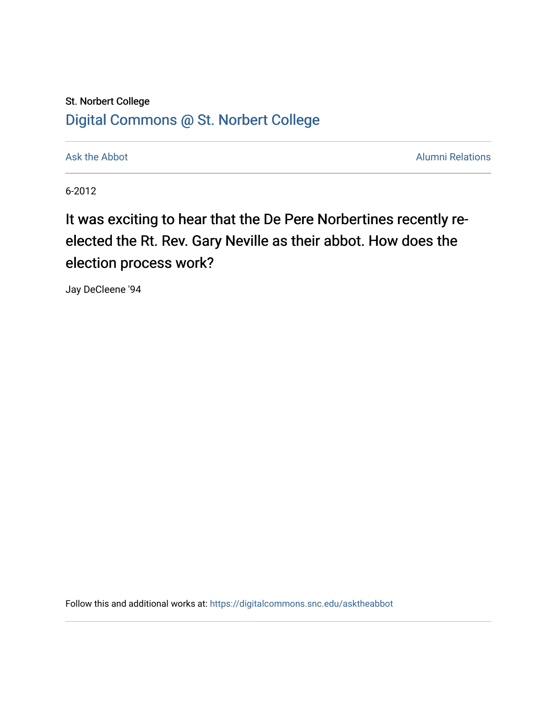## St. Norbert College [Digital Commons @ St. Norbert College](https://digitalcommons.snc.edu/)

[Ask the Abbot](https://digitalcommons.snc.edu/asktheabbot) **Alumni Relations** Ask the Abbot [Alumni Relations](https://digitalcommons.snc.edu/alumni) and Alumni Relations and Alumni Relations and Alumni Relations and Alumni Relations and Alumni Relations and Alumni Relations and Alumni Relations and Alumni

6-2012

It was exciting to hear that the De Pere Norbertines recently reelected the Rt. Rev. Gary Neville as their abbot. How does the election process work?

Jay DeCleene '94

Follow this and additional works at: [https://digitalcommons.snc.edu/asktheabbot](https://digitalcommons.snc.edu/asktheabbot?utm_source=digitalcommons.snc.edu%2Fasktheabbot%2F55&utm_medium=PDF&utm_campaign=PDFCoverPages)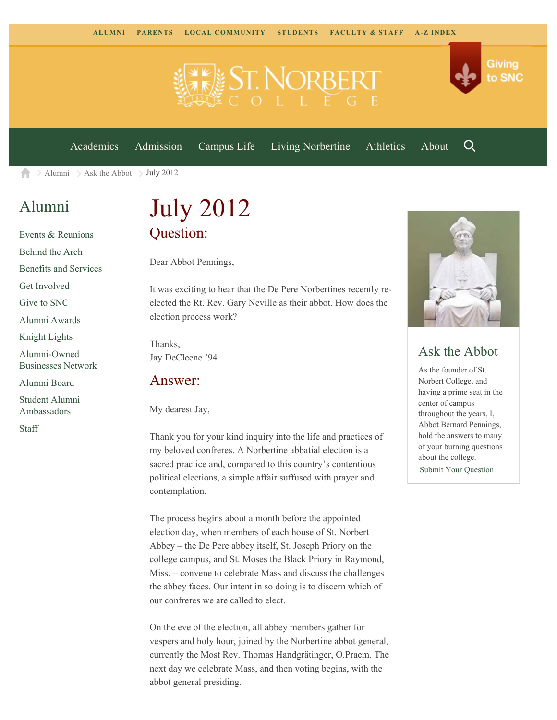

[Academics](https://www.snc.edu/academics) [Admission](https://www.snc.edu/admission) [Campus Life](https://www.snc.edu/campuslife) [Living Norbertine](https://www.snc.edu/livingnorbertine) [Athletics](https://www.snc.edu/athletics) [About](https://www.snc.edu/about)

Q

Giving

to SNC

 $\geq$  [Alumni](https://www.snc.edu/alumni/)  $\geq$  [Ask the Abbot](https://www.snc.edu/alumni/abbot/)  $\geq$  July 2012 合

## [Alumni](https://www.snc.edu/alumni/index.html)

[Events & Reunions](https://www.snc.edu/alumni/event/index.html) [Behind the Arch](https://www.snc.edu/alumni/event/behindthearch/) [Benefits and Services](https://www.snc.edu/alumni/benefits.html) [Get Involved](https://www.snc.edu/alumni/getinvolved.html) [Give to SNC](http://giving.snc.edu/) [Alumni Awards](https://www.snc.edu/alumni/awards/index.html) [Knight Lights](https://www.snc.edu/alumni/knightlights/index.html) [Alumni-Owned](https://www.snc.edu/alumni/directory/index.html) [Businesses Network](https://www.snc.edu/alumni/directory/index.html) [Alumni Board](https://www.snc.edu/alumni/alumniboard.html) [Student Alumni](https://www.snc.edu/alumni/saa.html)

[Ambassadors](https://www.snc.edu/alumni/saa.html)

[Staff](https://www.snc.edu/alumni/contactus.html)

# July 2012 Question:

Dear Abbot Pennings,

It was exciting to hear that the De Pere Norbertines recently reelected the Rt. Rev. Gary Neville as their abbot. How does the election process work?

Thanks, Jay DeCleene '94

#### Answer:

My dearest Jay,

Thank you for your kind inquiry into the life and practices of my beloved confreres. A Norbertine abbatial election is a sacred practice and, compared to this country's contentious political elections, a simple affair suffused with prayer and contemplation.

The process begins about a month before the appointed election day, when members of each house of St. Norbert Abbey – the De Pere abbey itself, St. Joseph Priory on the college campus, and St. Moses the Black Priory in Raymond, Miss. – convene to celebrate Mass and discuss the challenges the abbey faces. Our intent in so doing is to discern which of our confreres we are called to elect.

On the eve of the election, all abbey members gather for vespers and holy hour, joined by the Norbertine abbot general, currently the Most Rev. Thomas Handgrätinger, O.Praem. The next day we celebrate Mass, and then voting begins, with the abbot general presiding.



### Ask the Abbot

As the founder of St. Norbert College, and having a prime seat in the center of campus throughout the years, I, Abbot Bernard Pennings, hold the answers to many of your burning questions about the college. [Submit Your Question](https://www.snc.edu/alumni/abbot/index.html)